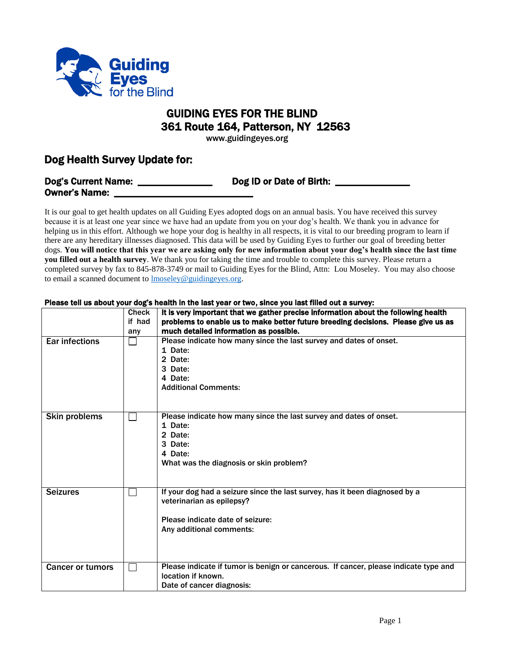

## GUIDING EYES FOR THE BLIND 361 Route 164, Patterson, NY 12563

www.guidingeyes.org

## Dog Health Survey Update for:

| <b>Dog's Current Name:</b> | Dog ID or Date of Birth: |
|----------------------------|--------------------------|
| <b>Owner's Name:</b>       |                          |

It is our goal to get health updates on all Guiding Eyes adopted dogs on an annual basis. You have received this survey because it is at least one year since we have had an update from you on your dog's health. We thank you in advance for helping us in this effort. Although we hope your dog is healthy in all respects, it is vital to our breeding program to learn if there are any hereditary illnesses diagnosed. This data will be used by Guiding Eyes to further our goal of breeding better dogs. **You will notice that this year we are asking only for new information about your dog's health since the last time you filled out a health survey**. We thank you for taking the time and trouble to complete this survey. Please return a completed survey by fax to 845-878-3749 or mail to Guiding Eyes for the Blind, Attn: Lou Moseley. You may also choose to email a scanned document to **Imoseley@guidingeyes.org**.

## Check if had any It is very important that we gather precise information about the following health problems to enable us to make better future breeding decisions. Please give us as much detailed information as possible. Ear infections  $\Box$  Please indicate how many since the last survey and dates of onset. 1 Date: 2 Date: 3 Date: 4 Date: Additional Comments: Skin problems  $\Box$  Please indicate how many since the last survey and dates of onset. 1 Date: 2 Date: 3 Date: 4 Date: What was the diagnosis or skin problem? Seizures  $\Box$  If your dog had a seizure since the last survey, has it been diagnosed by a veterinarian as epilepsy? Please indicate date of seizure: Any additional comments: Cancer or tumors  $|\Box|$  Please indicate if tumor is benign or cancerous. If cancer, please indicate type and location if known. Date of cancer diagnosis:

## Please tell us about your dog's health in the last year or two, since you last filled out a survey: